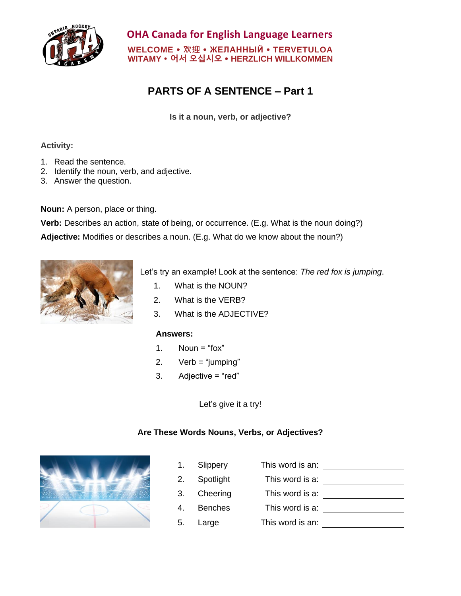

**OHA Canada for English Language Learners WELCOME 欢迎 ЖЕЛАННЫЙ TERVETULOA WITAMY 어서 오십시오 HERZLICH WILLKOMMEN**

# **PARTS OF A SENTENCE – Part 1**

**Is it a noun, verb, or adjective?**

#### **Activity:**

- 1. Read the sentence.
- 2. Identify the noun, verb, and adjective.
- 3. Answer the question.

**Noun:** A person, place or thing.

**Verb:** Describes an action, state of being, or occurrence. (E.g. What is the noun doing?)

**Adjective:** Modifies or describes a noun. (E.g. What do we know about the noun?)



Let's try an example! Look at the sentence: *The red fox is jumping*.

- 1. What is the NOUN?
- 2. What is the VERB?
- 3. What is the ADJECTIVE?

#### **Answers:**

- 1. Noun = " $\text{fox}$ "
- 2.  $Verb = "jumping"$
- 3. Adjective = "red"

Let's give it a try!

#### **Are These Words Nouns, Verbs, or Adjectives?**



1. Slippery This word is an: 2. Spotlight This word is a: 3. Cheering This word is a: 4. Benches This word is a: 5. Large This word is an: